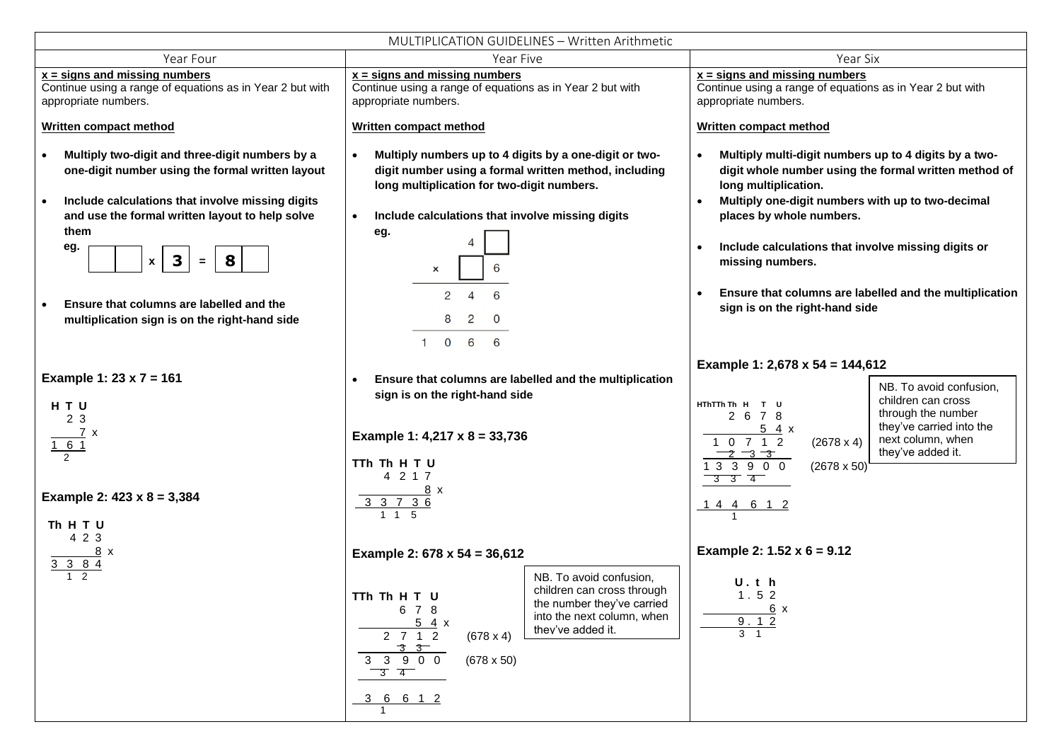| MULTIPLICATION GUIDELINES - Written Arithmetic                                                                                                                                                                                                                                                                                                                                           |                                                                                                                                                                                                                                                                                                                                                                                                                                                                                                                                      |                                                                                                                                                                                                                                                                                                                                                                                                              |
|------------------------------------------------------------------------------------------------------------------------------------------------------------------------------------------------------------------------------------------------------------------------------------------------------------------------------------------------------------------------------------------|--------------------------------------------------------------------------------------------------------------------------------------------------------------------------------------------------------------------------------------------------------------------------------------------------------------------------------------------------------------------------------------------------------------------------------------------------------------------------------------------------------------------------------------|--------------------------------------------------------------------------------------------------------------------------------------------------------------------------------------------------------------------------------------------------------------------------------------------------------------------------------------------------------------------------------------------------------------|
| Year Four                                                                                                                                                                                                                                                                                                                                                                                | Year Five                                                                                                                                                                                                                                                                                                                                                                                                                                                                                                                            | Year Six                                                                                                                                                                                                                                                                                                                                                                                                     |
| $x =$ signs and missing numbers<br>Continue using a range of equations as in Year 2 but with<br>appropriate numbers.                                                                                                                                                                                                                                                                     | $x =$ signs and missing numbers<br>Continue using a range of equations as in Year 2 but with<br>appropriate numbers.                                                                                                                                                                                                                                                                                                                                                                                                                 | $x =$ signs and missing numbers<br>Continue using a range of equations as in Year 2 but with<br>appropriate numbers.                                                                                                                                                                                                                                                                                         |
| <b>Written compact method</b>                                                                                                                                                                                                                                                                                                                                                            | <b>Written compact method</b>                                                                                                                                                                                                                                                                                                                                                                                                                                                                                                        | <b>Written compact method</b>                                                                                                                                                                                                                                                                                                                                                                                |
| Multiply two-digit and three-digit numbers by a<br>one-digit number using the formal written layout<br>Include calculations that involve missing digits<br>and use the formal written layout to help solve<br>them<br>eg.<br>$\overline{\mathbf{3}}$<br>8<br>$\pmb{\mathsf{x}}$<br>$\equiv$<br>Ensure that columns are labelled and the<br>multiplication sign is on the right-hand side | Multiply numbers up to 4 digits by a one-digit or two-<br>digit number using a formal written method, including<br>long multiplication for two-digit numbers.<br>Include calculations that involve missing digits<br>$\bullet$<br>eg.<br>$\boldsymbol{\mathsf{x}}$<br>2<br>6<br>4<br>2<br>0<br>0 6 6<br>$\mathbf{1}$                                                                                                                                                                                                                 | Multiply multi-digit numbers up to 4 digits by a two-<br>digit whole number using the formal written method of<br>long multiplication.<br>Multiply one-digit numbers with up to two-decimal<br>$\bullet$<br>places by whole numbers.<br>Include calculations that involve missing digits or<br>missing numbers.<br>Ensure that columns are labelled and the multiplication<br>sign is on the right-hand side |
| Example 1: $23 \times 7 = 161$<br>HTU<br>2 3<br>7 x<br>161<br>$\overline{2}$<br>Example 2: $423 \times 8 = 3,384$                                                                                                                                                                                                                                                                        | Ensure that columns are labelled and the multiplication<br>sign is on the right-hand side<br>Example 1: 4,217 x 8 = 33,736<br>TTh Th H T U<br>4 2 1 7<br>$\frac{8}{x}$<br>$\frac{33736}{115}$                                                                                                                                                                                                                                                                                                                                        | Example 1: 2,678 x 54 = 144,612<br>NB. To avoid confusion,<br>children can cross<br>HThTTh Th H T U<br>through the number<br>2 6 7 8<br>they've carried into the<br>54x<br>next column, when<br>1 0 7 1 2<br>$(2678 \times 4)$<br>they've added it.<br>$-2 - 3 - 3$<br>1 3 3 9 0 0<br>$(2678 \times 50)$<br>$\frac{1}{3}$ $\frac{1}{3}$ $\frac{1}{4}$<br><u>14 4 6 1 2</u>                                   |
| Th H T U<br>4 2 3<br>8 x<br>3 3 8 4<br>1 <sub>2</sub>                                                                                                                                                                                                                                                                                                                                    | Example 2: $678 \times 54 = 36,612$<br>NB. To avoid confusion,<br>children can cross through<br>TTh Th H T U<br>the number they've carried<br>6 7 8<br>into the next column, when<br>54x<br>they've added it.<br>$2 \t7 \t1 \t2$<br>$(678 \times 4)$<br>$\begin{array}{@{}c@{\hspace{1em}}c@{\hspace{1em}}}\n & \multicolumn{1}{c }{3} & \multicolumn{1}{c }{3} & \multicolumn{1}{c }{3} & \multicolumn{1}{c }{5} \\ \hline\n & 3 & 3 & 9 & 0 & 0 \\ \end{array}$<br>$(678 \times 50)$<br>$\overline{3}$ $\overline{4}$<br>3 6 6 1 2 | Example 2: $1.52 \times 6 = 9.12$<br>U.th<br>1.52<br>6x<br>9.12<br>$3 \quad 1$                                                                                                                                                                                                                                                                                                                               |